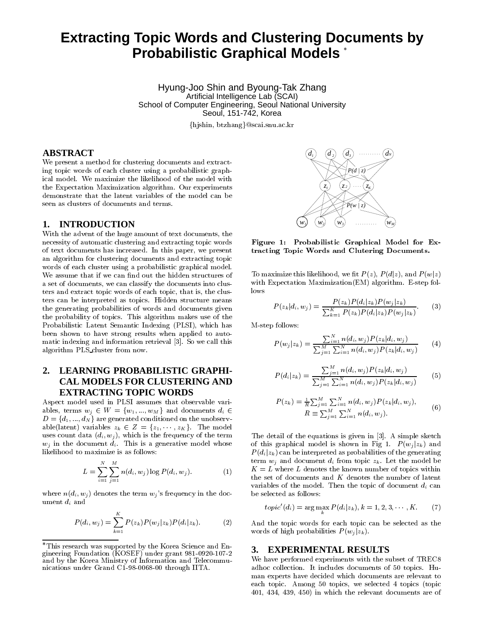# **Extracting Topic Words and Clustering Documents by Probabilistic Graphical Models**

Hyung-Joo Shin and Byoung-Tak Zhang Artificial Intelligence Lab (SCAI) School of Computer Engineering, Seoul National University Seoul, 151-742, Korea

-- 

# **ABSTRACT**

и просторожение производство на селото на селото на селото на селото на селото на селото на селото на селото н<br>Селото на селото на селото на селото на селото на селото на селото на селото на селото на селото на селото на  $\mathbf{M} = \mathbf{M} = \mathbf{M} = \mathbf{M} = \mathbf{M} = \mathbf{M} = \mathbf{M} = \mathbf{M} = \mathbf{M} = \mathbf{M} = \mathbf{M} = \mathbf{M} = \mathbf{M} = \mathbf{M} = \mathbf{M} = \mathbf{M} = \mathbf{M} = \mathbf{M} = \mathbf{M} = \mathbf{M} = \mathbf{M} = \mathbf{M} = \mathbf{M} = \mathbf{M} = \mathbf{M} = \mathbf{M} = \mathbf{M} = \mathbf{M} = \mathbf{M} = \mathbf{M} = \mathbf{M} = \mathbf$  seen as clusters of documents and terms.

### **1. INTRODUCTION**

in the contract of the contract of the contract of the contract of the contract of the contract of the contract of the contract of the contract of the contract of the contract of the contract of the contract of the contrac ! 

 " 

the contract of the contract of the contract of the contract of the contract of the contract of the contract o 
the contract of the contract of the contract of the contract of the contract of the contract of the contract of ия в процесс при продаже продаже продаже при принцепи и страна в серверото на селото на селото на селото на се<br>В селото на селото на селото на селото на селото на селото на селото на селото на селото на селото на селото н ! % Probabilistic Latent Semantic Indexing (PLSI), which has  $\hbar$  M +,- ( algorithm PLS\_cluster from now.

# **2. LEARNING PROBABILISTIC GRAPHI-CAL MODELS FOR CLUSTERING AND EXTRACTING TOPIC WORDS**

Aspect model used in PLSI assumes that observable vari- $\alpha$  ,  $\alpha$  ,  $\alpha$  ,  $\alpha$  ,  $\alpha$  ,  $\alpha$  ,  $\alpha$  ,  $\alpha$  ,  $\alpha$  ,  $\alpha$  ,  $\alpha$  ,  $\alpha$  ,  $\alpha$  ,  $\alpha$  ,  $\alpha$  ,  $\alpha$  ,  $\alpha$  ,  $\alpha$  ,  $\alpha$  ,  $\alpha$  ,  $\alpha$  ,  $\alpha$  ,  $\alpha$  ,  $\alpha$  ,  $\alpha$  ,  $\alpha$  ,  $\alpha$  ,  $\alpha$  ,  $\alpha$  ,  $\alpha$  ,  $\alpha$  ,  $\alpha$  / - 
  $\mathcal{L} = \{x_1, \ldots, x_n\}$  $\alpha$  and  $\alpha$  and  $\alpha$  and  $\alpha$  and  $\alpha$  is the  $\alpha$  is the  $\alpha$  of  $\alpha$  and  $\alpha$  and  $\alpha$  and  $\alpha$  and  $\alpha$  and  $\alpha$  and  $\alpha$  and  $\alpha$  and  $\alpha$  and  $\alpha$  and  $\alpha$  and  $\alpha$  and  $\alpha$  and  $\alpha$  and  $\alpha$  and  $\alpha$  and  $\alpha$  and %

$$
L = \sum_{i=1}^{N} \sum_{j=1}^{M} n(d_i, w_j) \log P(d_i, w_j).
$$
 (1)

 $\cdots$  and  $\cdots$   $\cdots$   $\cdots$   $\cdots$   $\cdots$   $\cdots$   $\cdots$   $\cdots$   $\cdots$   $\cdots$   $\cdots$   $\cdots$   $\cdots$ 

$$
P(d_i, w_j) = \sum_{k=1}^{K} P(z_k) P(w_j | z_k) P(d_i | z_k).
$$
 (2)



 $-$  -defined by the contract of the contract of the contract of the contract of the contract of the contract of the contract of the contract of the contract of the contract of the contract of the contract of the contract - -  
-

% # )\* )\* )\* )\*  $\log s$ 

$$
P(z_k|d_i, w_j) = \frac{P(z_k)P(d_i|z_k)P(w_j|z_k)}{\sum_{k=1}^K P(z_k)P(d_i|z_k)P(w_j|z_k)}.
$$
 (3)

M-step follows:

$$
P(w_j|z_k) = \frac{\sum_{i=1}^{N} n(d_i, w_j) P(z_k|d_i, w_j)}{\sum_{j=1}^{M} \sum_{i=1}^{N} n(d_i, w_j) P(z_k|d_i, w_j)}
$$
(4)

$$
P(d_i|z_k) = \frac{\sum_{j=1}^{M} n(d_i, w_j) P(z_k|d_i, w_j)}{\sum_{j=1}^{M} \sum_{i=1}^{N} n(d_i, w_j) P(z_k|d_i, w_j)}
$$
(5)

$$
P(z_k) = \frac{1}{R} \sum_{j=1}^{M} \sum_{i=1}^{N} n(d_i, w_j) P(z_k | d_i, w_j),
$$
  
\n
$$
R \equiv \sum_{j=1}^{M} \sum_{i=1}^{N} n(d_i, w_j).
$$
 (6)

% 0 +,- .  $\mathbf{f}$  , and the set of  $\mathbf{f}$  and  $\mathbf{f}$  and  $\mathbf{f}$  and  $\mathbf{f}$  and  $\mathbf{f}$  and  $\mathbf{f}$  and  $\mathbf{f}$  and  $\mathbf{f}$  and  $\mathbf{f}$  and  $\mathbf{f}$  and  $\mathbf{f}$  and  $\mathbf{f}$  and  $\mathbf{f}$  and  $\mathbf{f}$  and  $\mathbf{f}$  and ) \*  $\mathop{\rm term}\nolimits\,w_i$  and document  $d_i$  from topic  $z_k$ . Let the model be  $K = L$  where L denotes the known number of topics within 
variables of the model. Then the topic of document  $d_i$  can

$$
topic'(d_i) = \arg\max_k P(d_i|z_k), k = 1, 2, 3, \cdots, K.
$$
 (7)

. 

 ) \*

## **3. EXPERIMENTAL RESULTS**

where the contract of the contract of the contract of the contract of the contract of the contract of the contract of the contract of the contract of the contract of the contract of the contract of the contract of the cont " A second contract the second contract of the second contract of the second contract of the second contract of 
 . ?9 > ) >92 >,> >,7 >?9\* 

This research was supported by the Korea Science and En- $\sigma$  6 )5(6\* 782974929:4 ! 5 ! " % ; <27899=899 ""%.